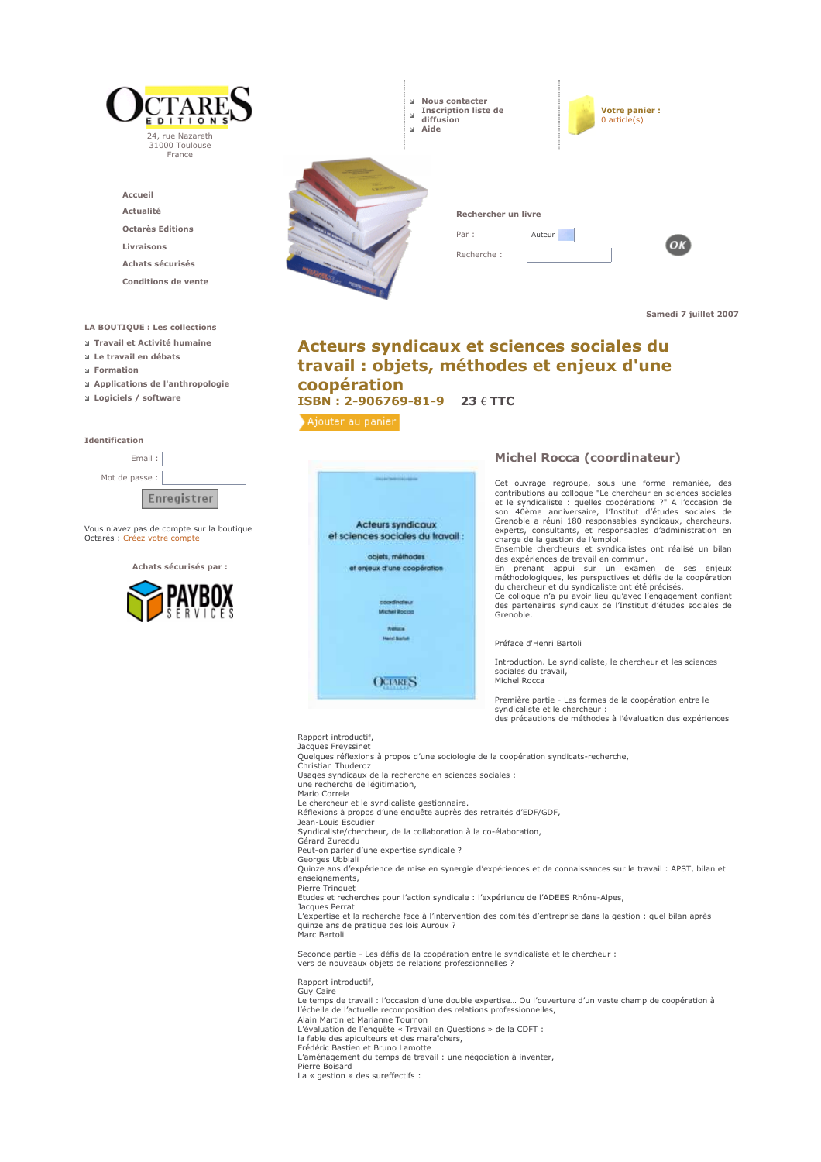

L'évaluation de l'enquête « Travail en Questions » de la CDFT :<br>la fable des apiculteurs et des maraîchers,

is riser due opposition ou constructions.<br>
Frédéric Bastien et Bruno Lamotte<br>
L'aménagement du temps de travail : une négociation à inventer,

Pierre Boisard

La « gestion » des sureffectifs :